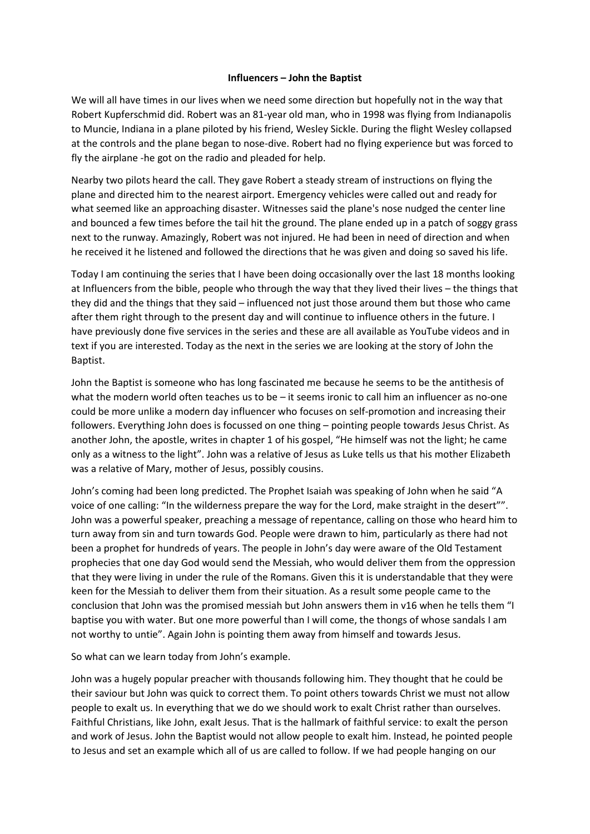## **Influencers – John the Baptist**

We will all have times in our lives when we need some direction but hopefully not in the way that Robert Kupferschmid did. Robert was an 81-year old man, who in 1998 was flying from Indianapolis to Muncie, Indiana in a plane piloted by his friend, Wesley Sickle. During the flight Wesley collapsed at the controls and the plane began to nose-dive. Robert had no flying experience but was forced to fly the airplane -he got on the radio and pleaded for help.

Nearby two pilots heard the call. They gave Robert a steady stream of instructions on flying the plane and directed him to the nearest airport. Emergency vehicles were called out and ready for what seemed like an approaching disaster. Witnesses said the plane's nose nudged the center line and bounced a few times before the tail hit the ground. The plane ended up in a patch of soggy grass next to the runway. Amazingly, Robert was not injured. He had been in need of direction and when he received it he listened and followed the directions that he was given and doing so saved his life.

Today I am continuing the series that I have been doing occasionally over the last 18 months looking at Influencers from the bible, people who through the way that they lived their lives – the things that they did and the things that they said – influenced not just those around them but those who came after them right through to the present day and will continue to influence others in the future. I have previously done five services in the series and these are all available as YouTube videos and in text if you are interested. Today as the next in the series we are looking at the story of John the Baptist.

John the Baptist is someone who has long fascinated me because he seems to be the antithesis of what the modern world often teaches us to be – it seems ironic to call him an influencer as no-one could be more unlike a modern day influencer who focuses on self-promotion and increasing their followers. Everything John does is focussed on one thing – pointing people towards Jesus Christ. As another John, the apostle, writes in chapter 1 of his gospel, "He himself was not the light; he came only as a witness to the light". John was a relative of Jesus as Luke tells us that his mother Elizabeth was a relative of Mary, mother of Jesus, possibly cousins.

John's coming had been long predicted. The Prophet Isaiah was speaking of John when he said "A voice of one calling: "In the wilderness prepare the way for the Lord, make straight in the desert"". John was a powerful speaker, preaching a message of repentance, calling on those who heard him to turn away from sin and turn towards God. People were drawn to him, particularly as there had not been a prophet for hundreds of years. The people in John's day were aware of the Old Testament prophecies that one day God would send the Messiah, who would deliver them from the oppression that they were living in under the rule of the Romans. Given this it is understandable that they were keen for the Messiah to deliver them from their situation. As a result some people came to the conclusion that John was the promised messiah but John answers them in v16 when he tells them "I baptise you with water. But one more powerful than I will come, the thongs of whose sandals I am not worthy to untie". Again John is pointing them away from himself and towards Jesus.

So what can we learn today from John's example.

John was a hugely popular preacher with thousands following him. They thought that he could be their saviour but John was quick to correct them. To point others towards Christ we must not allow people to exalt us. In everything that we do we should work to exalt Christ rather than ourselves. Faithful Christians, like John, exalt Jesus. That is the hallmark of faithful service: to exalt the person and work of Jesus. John the Baptist would not allow people to exalt him. Instead, he pointed people to Jesus and set an example which all of us are called to follow. If we had people hanging on our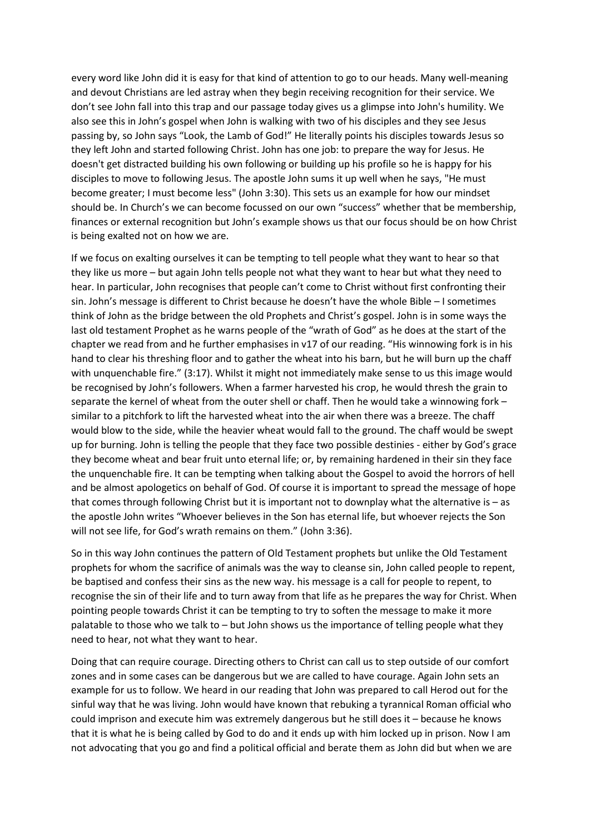every word like John did it is easy for that kind of attention to go to our heads. Many well-meaning and devout Christians are led astray when they begin receiving recognition for their service. We don't see John fall into this trap and our passage today gives us a glimpse into John's humility. We also see this in John's gospel when John is walking with two of his disciples and they see Jesus passing by, so John says "Look, the Lamb of God!" He literally points his disciples towards Jesus so they left John and started following Christ. John has one job: to prepare the way for Jesus. He doesn't get distracted building his own following or building up his profile so he is happy for his disciples to move to following Jesus. The apostle John sums it up well when he says, "He must become greater; I must become less" (John 3:30). This sets us an example for how our mindset should be. In Church's we can become focussed on our own "success" whether that be membership, finances or external recognition but John's example shows us that our focus should be on how Christ is being exalted not on how we are.

If we focus on exalting ourselves it can be tempting to tell people what they want to hear so that they like us more – but again John tells people not what they want to hear but what they need to hear. In particular, John recognises that people can't come to Christ without first confronting their sin. John's message is different to Christ because he doesn't have the whole Bible – I sometimes think of John as the bridge between the old Prophets and Christ's gospel. John is in some ways the last old testament Prophet as he warns people of the "wrath of God" as he does at the start of the chapter we read from and he further emphasises in v17 of our reading. "His winnowing fork is in his hand to clear his threshing floor and to gather the wheat into his barn, but he will burn up the chaff with unquenchable fire." (3:17). Whilst it might not immediately make sense to us this image would be recognised by John's followers. When a farmer harvested his crop, he would thresh the grain to separate the kernel of wheat from the outer shell or chaff. Then he would take a winnowing fork – similar to a pitchfork to lift the harvested wheat into the air when there was a breeze. The chaff would blow to the side, while the heavier wheat would fall to the ground. The chaff would be swept up for burning. John is telling the people that they face two possible destinies - either by God's grace they become wheat and bear fruit unto eternal life; or, by remaining hardened in their sin they face the unquenchable fire. It can be tempting when talking about the Gospel to avoid the horrors of hell and be almost apologetics on behalf of God. Of course it is important to spread the message of hope that comes through following Christ but it is important not to downplay what the alternative is – as the apostle John writes "Whoever believes in the Son has eternal life, but whoever rejects the Son will not see life, for God's wrath remains on them." (John 3:36).

So in this way John continues the pattern of Old Testament prophets but unlike the Old Testament prophets for whom the sacrifice of animals was the way to cleanse sin, John called people to repent, be baptised and confess their sins as the new way. his message is a call for people to repent, to recognise the sin of their life and to turn away from that life as he prepares the way for Christ. When pointing people towards Christ it can be tempting to try to soften the message to make it more palatable to those who we talk to – but John shows us the importance of telling people what they need to hear, not what they want to hear.

Doing that can require courage. Directing others to Christ can call us to step outside of our comfort zones and in some cases can be dangerous but we are called to have courage. Again John sets an example for us to follow. We heard in our reading that John was prepared to call Herod out for the sinful way that he was living. John would have known that rebuking a tyrannical Roman official who could imprison and execute him was extremely dangerous but he still does it – because he knows that it is what he is being called by God to do and it ends up with him locked up in prison. Now I am not advocating that you go and find a political official and berate them as John did but when we are